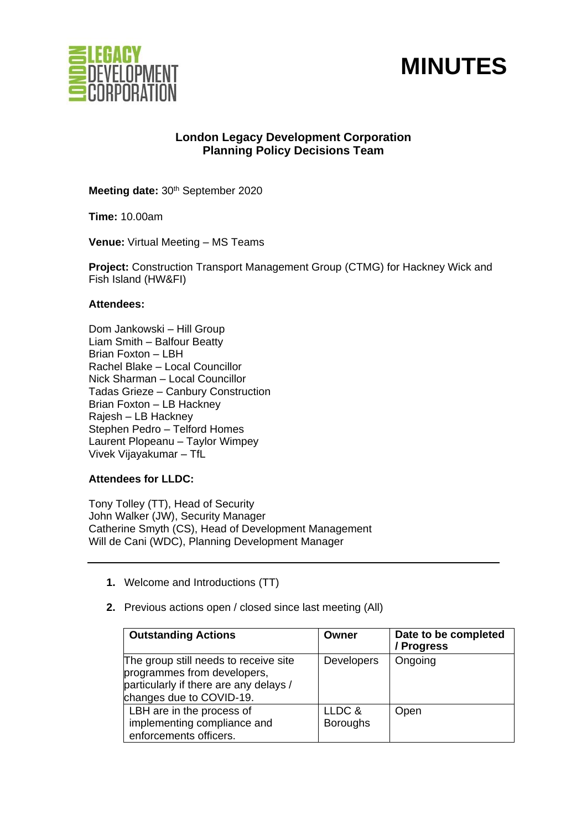



# **London Legacy Development Corporation Planning Policy Decisions Team**

Meeting date: 30<sup>th</sup> September 2020

**Time:** 10.00am

**Venue:** Virtual Meeting – MS Teams

**Project:** Construction Transport Management Group (CTMG) for Hackney Wick and Fish Island (HW&FI)

#### **Attendees:**

Dom Jankowski – Hill Group Liam Smith – Balfour Beatty Brian Foxton – LBH Rachel Blake – Local Councillor Nick Sharman – Local Councillor Tadas Grieze – Canbury Construction Brian Foxton – LB Hackney Rajesh – LB Hackney Stephen Pedro – Telford Homes Laurent Plopeanu – Taylor Wimpey Vivek Vijayakumar – TfL

## **Attendees for LLDC:**

Tony Tolley (TT), Head of Security John Walker (JW), Security Manager Catherine Smyth (CS), Head of Development Management Will de Cani (WDC), Planning Development Manager

- **1.** Welcome and Introductions (TT)
- **2.** Previous actions open / closed since last meeting (All)

| <b>Outstanding Actions</b>                                                                                                                 | Owner                     | Date to be completed<br>/ Progress |
|--------------------------------------------------------------------------------------------------------------------------------------------|---------------------------|------------------------------------|
| The group still needs to receive site<br>programmes from developers,<br>particularly if there are any delays /<br>changes due to COVID-19. | <b>Developers</b>         | Ongoing                            |
| LBH are in the process of<br>implementing compliance and<br>enforcements officers.                                                         | LLDC &<br><b>Boroughs</b> | Open                               |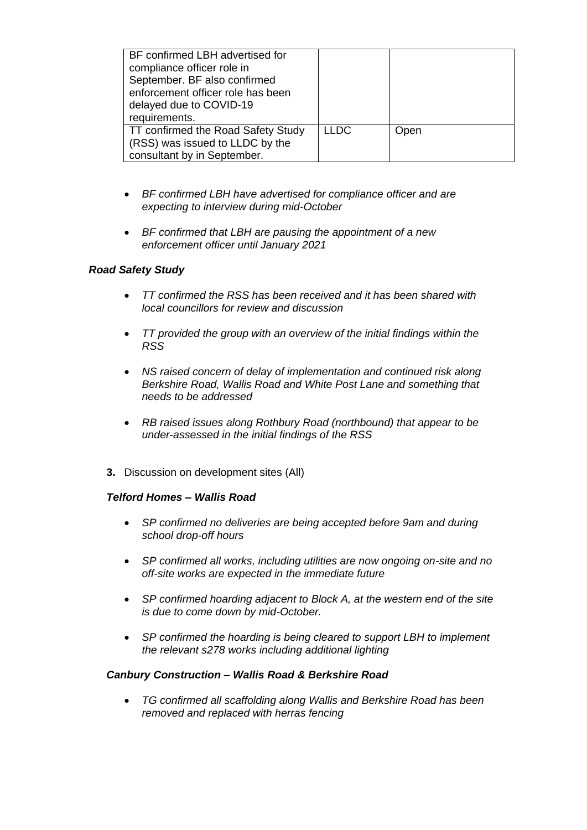| BF confirmed LBH advertised for<br>compliance officer role in<br>September. BF also confirmed<br>enforcement officer role has been<br>delayed due to COVID-19<br>requirements. |             |      |
|--------------------------------------------------------------------------------------------------------------------------------------------------------------------------------|-------------|------|
| TT confirmed the Road Safety Study<br>(RSS) was issued to LLDC by the<br>consultant by in September.                                                                           | <b>LLDC</b> | Open |

- *BF confirmed LBH have advertised for compliance officer and are expecting to interview during mid-October*
- *BF confirmed that LBH are pausing the appointment of a new enforcement officer until January 2021*

## *Road Safety Study*

- *TT confirmed the RSS has been received and it has been shared with local councillors for review and discussion*
- *TT provided the group with an overview of the initial findings within the RSS*
- *NS raised concern of delay of implementation and continued risk along Berkshire Road, Wallis Road and White Post Lane and something that needs to be addressed*
- *RB raised issues along Rothbury Road (northbound) that appear to be under-assessed in the initial findings of the RSS*
- **3.** Discussion on development sites (All)

## *Telford Homes – Wallis Road*

- *SP confirmed no deliveries are being accepted before 9am and during school drop-off hours*
- *SP confirmed all works, including utilities are now ongoing on-site and no off-site works are expected in the immediate future*
- *SP confirmed hoarding adjacent to Block A, at the western end of the site is due to come down by mid-October.*
- *SP confirmed the hoarding is being cleared to support LBH to implement the relevant s278 works including additional lighting*

## *Canbury Construction – Wallis Road & Berkshire Road*

• *TG confirmed all scaffolding along Wallis and Berkshire Road has been removed and replaced with herras fencing*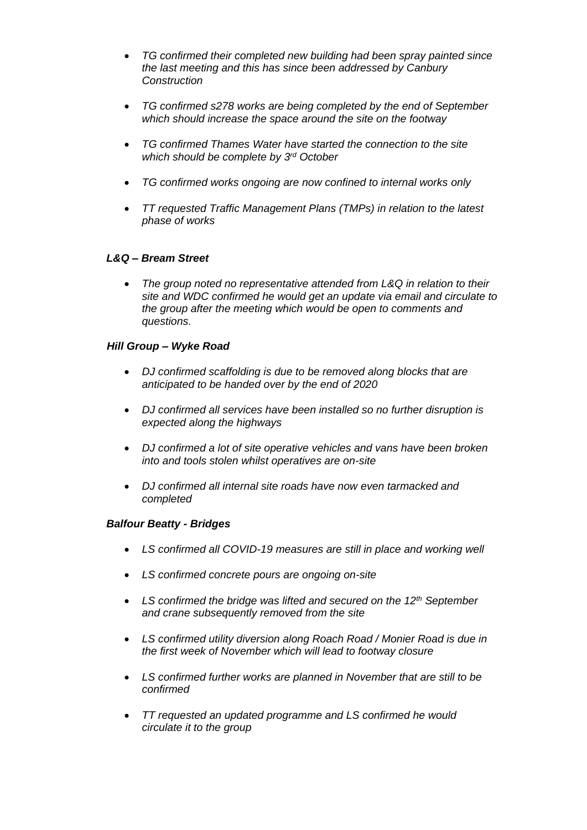- *TG confirmed their completed new building had been spray painted since the last meeting and this has since been addressed by Canbury Construction*
- *TG confirmed s278 works are being completed by the end of September which should increase the space around the site on the footway*
- *TG confirmed Thames Water have started the connection to the site which should be complete by 3rd October*
- *TG confirmed works ongoing are now confined to internal works only*
- *TT requested Traffic Management Plans (TMPs) in relation to the latest phase of works*

## *L&Q – Bream Street*

• *The group noted no representative attended from L&Q in relation to their site and WDC confirmed he would get an update via email and circulate to the group after the meeting which would be open to comments and questions.*

## *Hill Group – Wyke Road*

- *DJ confirmed scaffolding is due to be removed along blocks that are anticipated to be handed over by the end of 2020*
- *DJ confirmed all services have been installed so no further disruption is expected along the highways*
- *DJ confirmed a lot of site operative vehicles and vans have been broken into and tools stolen whilst operatives are on-site*
- *DJ confirmed all internal site roads have now even tarmacked and completed*

## *Balfour Beatty - Bridges*

- *LS confirmed all COVID-19 measures are still in place and working well*
- *LS confirmed concrete pours are ongoing on-site*
- *LS confirmed the bridge was lifted and secured on the 12th September and crane subsequently removed from the site*
- *LS confirmed utility diversion along Roach Road / Monier Road is due in the first week of November which will lead to footway closure*
- *LS confirmed further works are planned in November that are still to be confirmed*
- *TT requested an updated programme and LS confirmed he would circulate it to the group*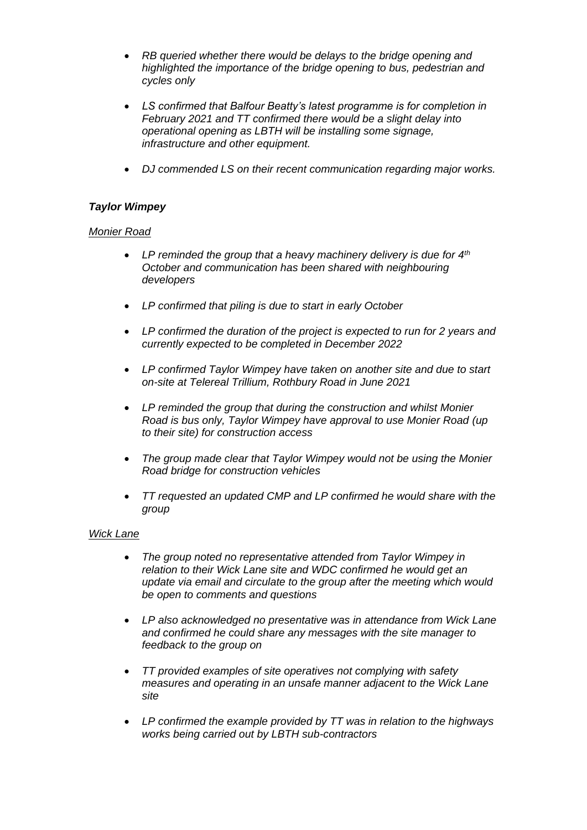- *RB queried whether there would be delays to the bridge opening and highlighted the importance of the bridge opening to bus, pedestrian and cycles only*
- *LS confirmed that Balfour Beatty's latest programme is for completion in February 2021 and TT confirmed there would be a slight delay into operational opening as LBTH will be installing some signage, infrastructure and other equipment.*
- *DJ commended LS on their recent communication regarding major works.*

# *Taylor Wimpey*

## *Monier Road*

- *LP reminded the group that a heavy machinery delivery is due for 4th October and communication has been shared with neighbouring developers*
- *LP confirmed that piling is due to start in early October*
- *LP confirmed the duration of the project is expected to run for 2 years and currently expected to be completed in December 2022*
- *LP confirmed Taylor Wimpey have taken on another site and due to start on-site at Telereal Trillium, Rothbury Road in June 2021*
- *LP reminded the group that during the construction and whilst Monier Road is bus only, Taylor Wimpey have approval to use Monier Road (up to their site) for construction access*
- *The group made clear that Taylor Wimpey would not be using the Monier Road bridge for construction vehicles*
- *TT requested an updated CMP and LP confirmed he would share with the group*

## *Wick Lane*

- *The group noted no representative attended from Taylor Wimpey in relation to their Wick Lane site and WDC confirmed he would get an update via email and circulate to the group after the meeting which would be open to comments and questions*
- *LP also acknowledged no presentative was in attendance from Wick Lane and confirmed he could share any messages with the site manager to feedback to the group on*
- *TT provided examples of site operatives not complying with safety measures and operating in an unsafe manner adjacent to the Wick Lane site*
- *LP confirmed the example provided by TT was in relation to the highways works being carried out by LBTH sub-contractors*